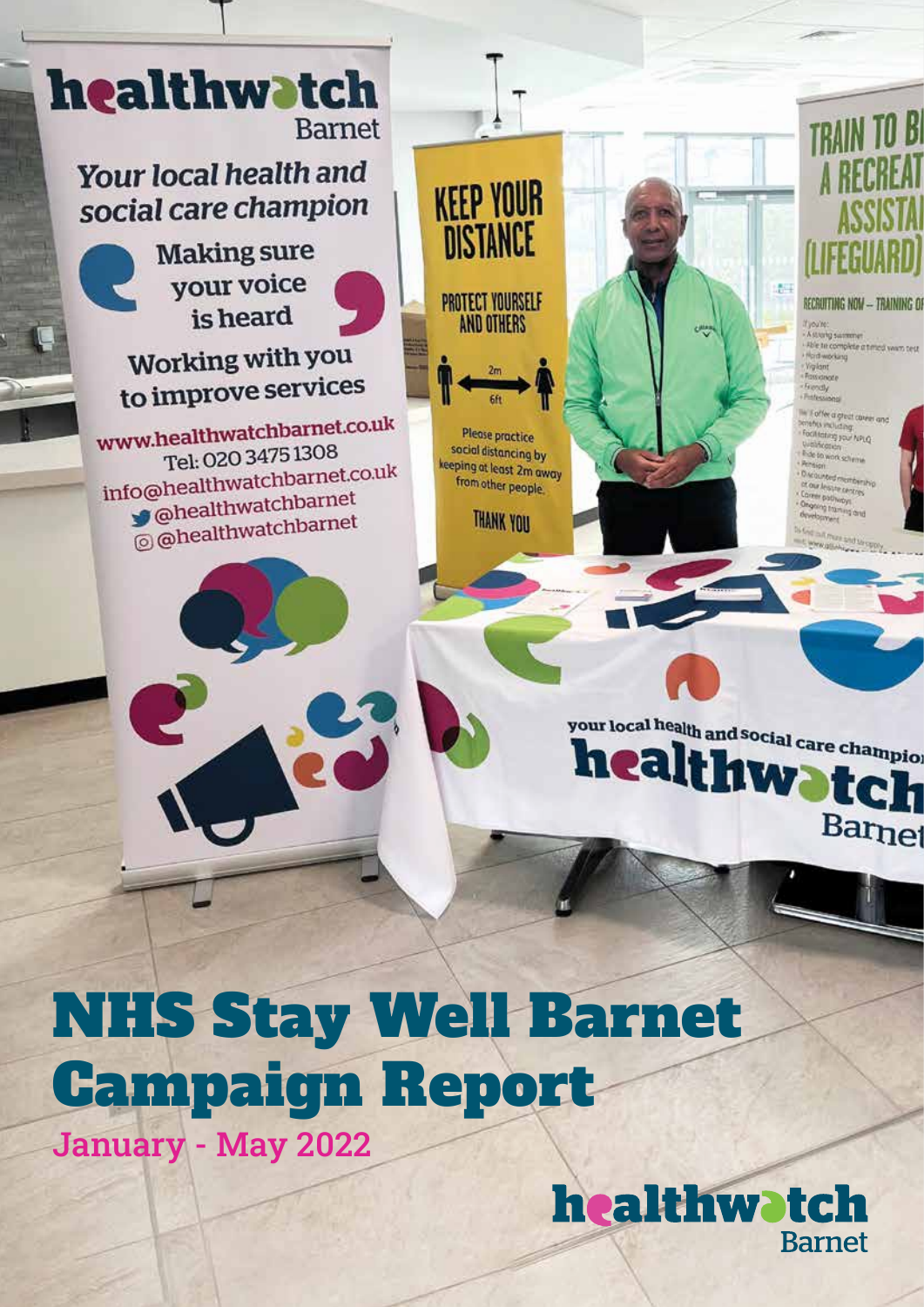

# NHS Stay Well Barnet Campaign Report

January - May 2022

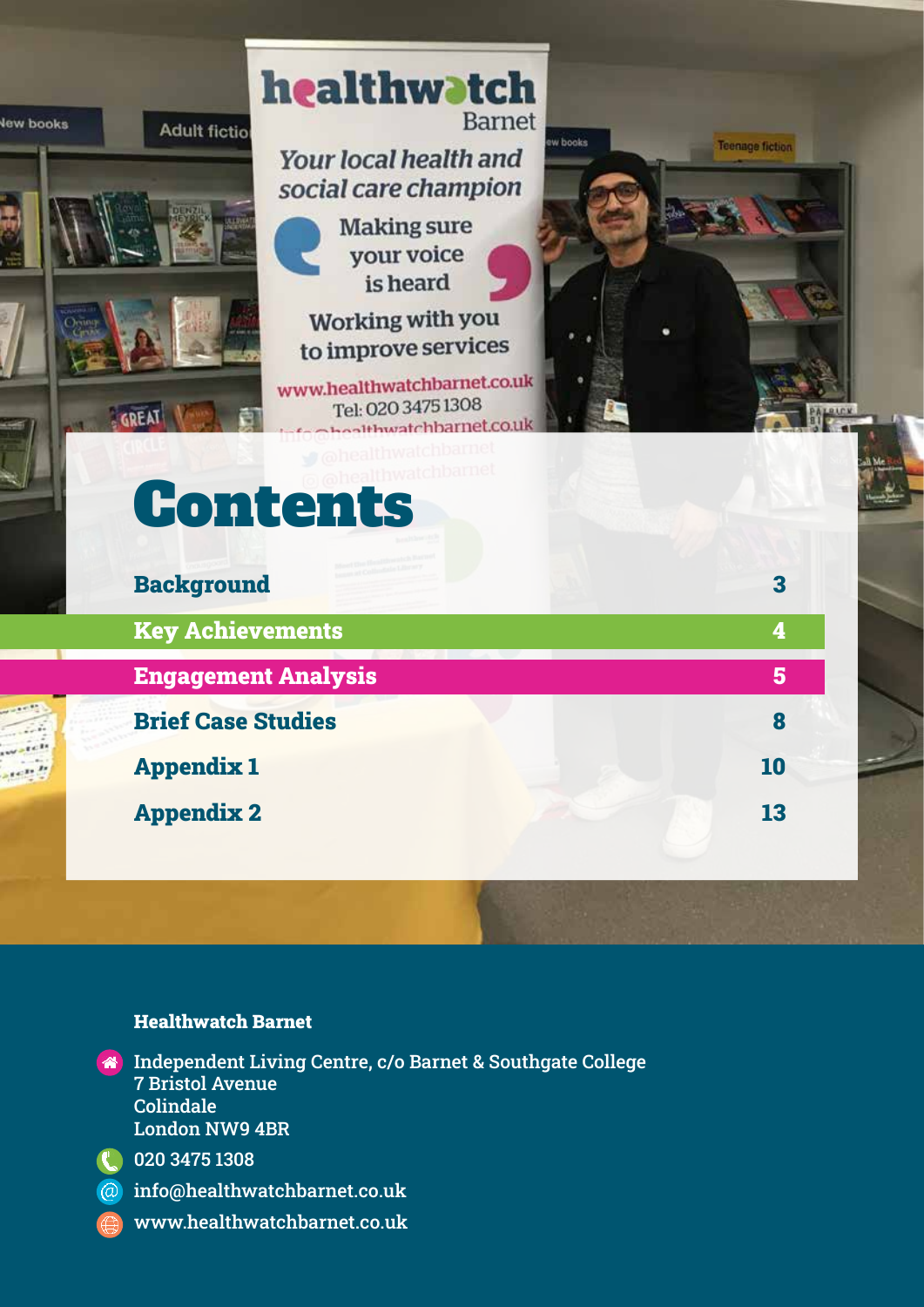

#### Healthwatch Barnet

**A** Independent Living Centre, c/o Barnet & Southgate College 7 Bristol Avenue Colindale London NW9 4BR



- 020 3475 1308
- info@healthwatchbarnet.co.uk
	- www.healthwatchbarnet.co.uk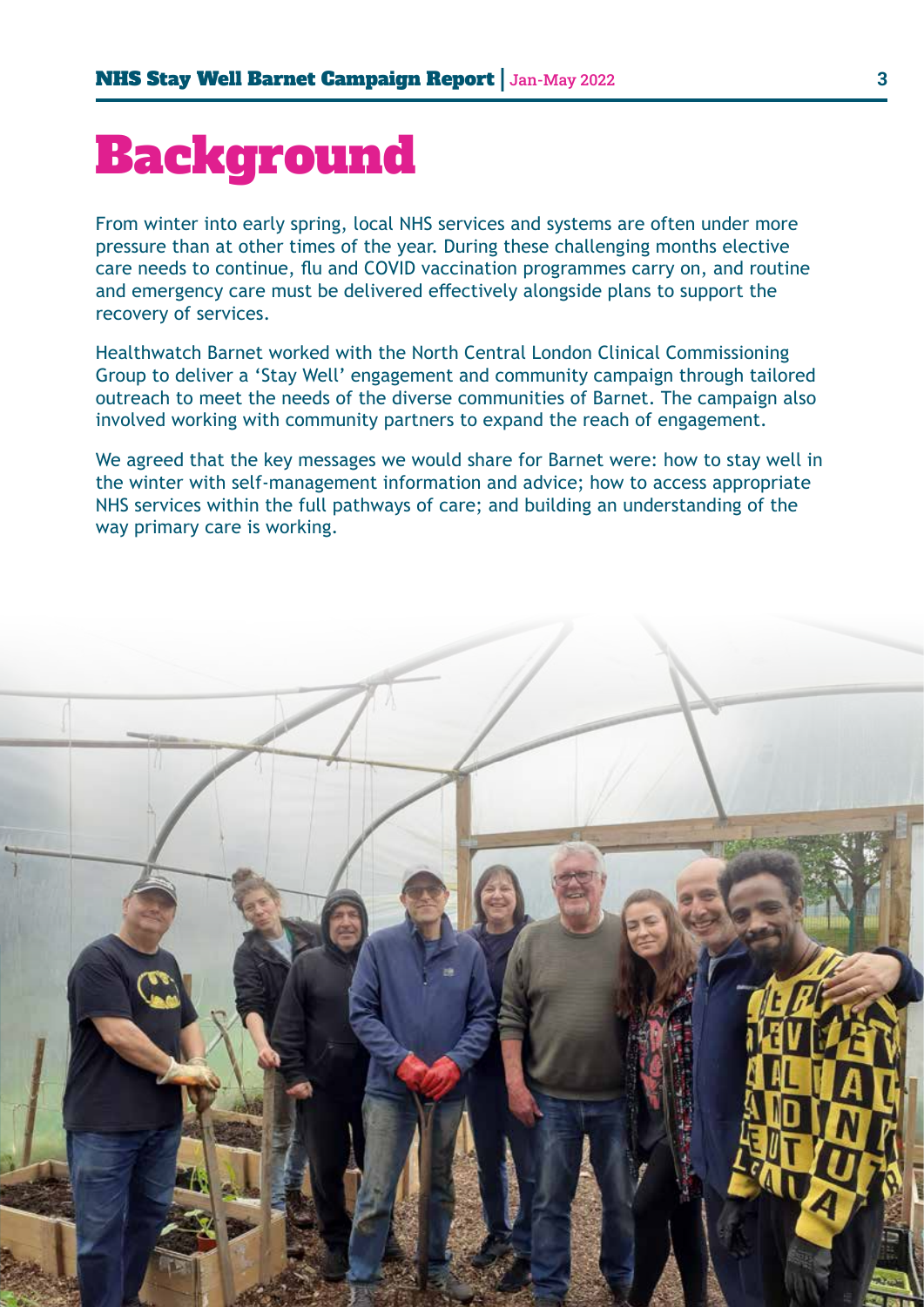## Background

From winter into early spring, local NHS services and systems are often under more pressure than at other times of the year. During these challenging months elective care needs to continue, flu and COVID vaccination programmes carry on, and routine and emergency care must be delivered effectively alongside plans to support the recovery of services.

Healthwatch Barnet worked with the North Central London Clinical Commissioning Group to deliver a 'Stay Well' engagement and community campaign through tailored outreach to meet the needs of the diverse communities of Barnet. The campaign also involved working with community partners to expand the reach of engagement.

We agreed that the key messages we would share for Barnet were: how to stay well in the winter with self-management information and advice; how to access appropriate NHS services within the full pathways of care; and building an understanding of the way primary care is working.

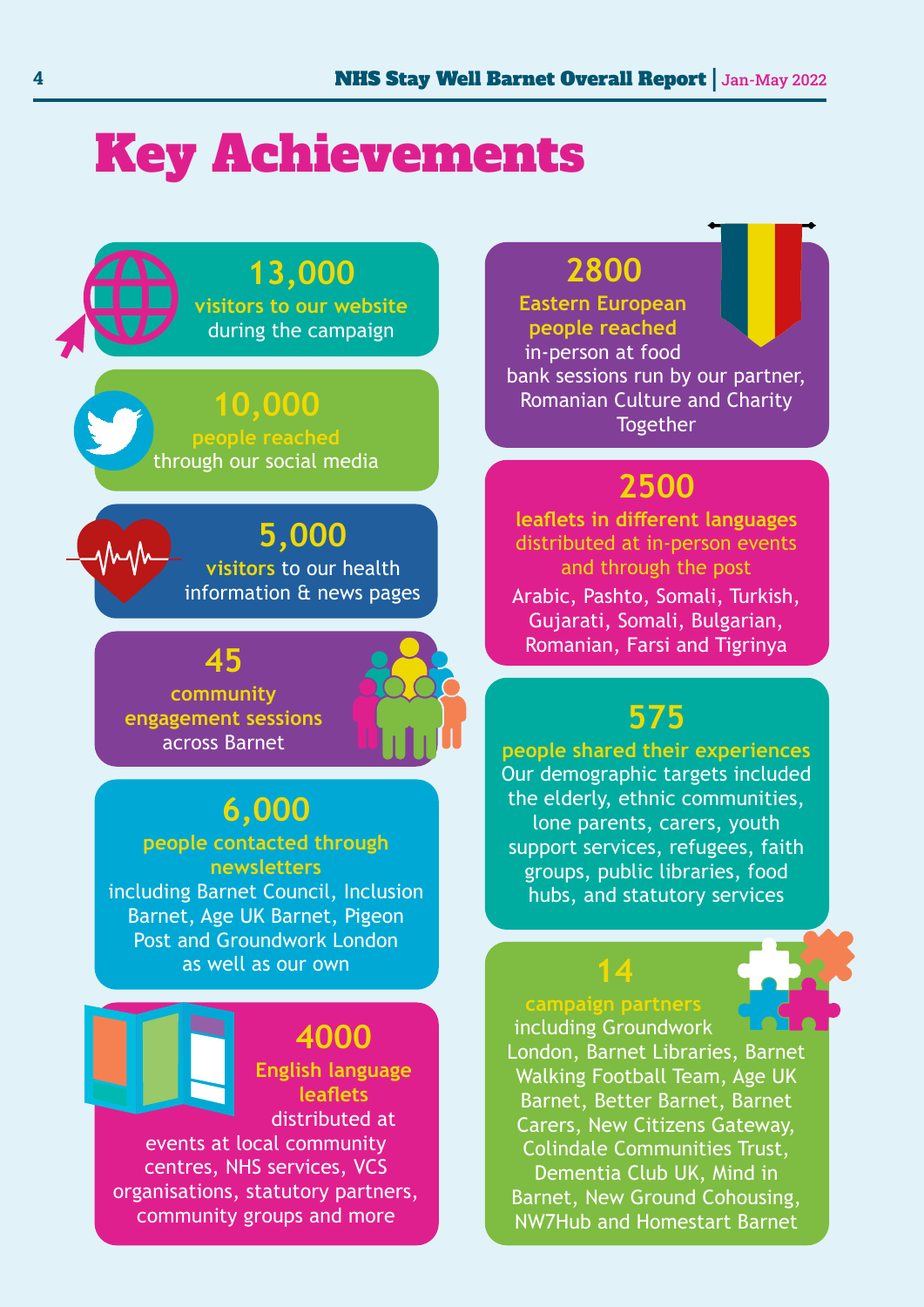## Key Achievements

## **13,000**

**visitors to our website** during the campaign

### **10,000**

**people reached** through our social media

#### **5,000 visitors** to our health information & news pages

**45 community engagement sessions** across Barnet

nhuh

## **6,000**

#### **people contacted through newsletters**

including Barnet Council, Inclusion Barnet, Age UK Barnet, Pigeon Post and Groundwork London as well as our own

#### **4000**

**English language leaflets** distributed at

events at local community centres, NHS services, VCS organisations, statutory partners, community groups and more

## **2800**

**Eastern European people reached** in-person at food bank sessions run by our partner, Romanian Culture and Charity **Together** 

## **2500**

**leaflets in different languages**  distributed at in-person events and through the post

Arabic, Pashto, Somali, Turkish, Gujarati, Somali, Bulgarian, Romanian, Farsi and Tigrinya

## **575**

**people shared their experiences** Our demographic targets included the elderly, ethnic communities, lone parents, carers, youth support services, refugees, faith groups, public libraries, food hubs, and statutory services

#### **campaign partners** including Groundwork

**14** 

London, Barnet Libraries, Barnet Walking Football Team, Age UK Barnet, Better Barnet, Barnet Carers, New Citizens Gateway, Colindale Communities Trust, Dementia Club UK, Mind in Barnet, New Ground Cohousing, NW7Hub and Homestart Barnet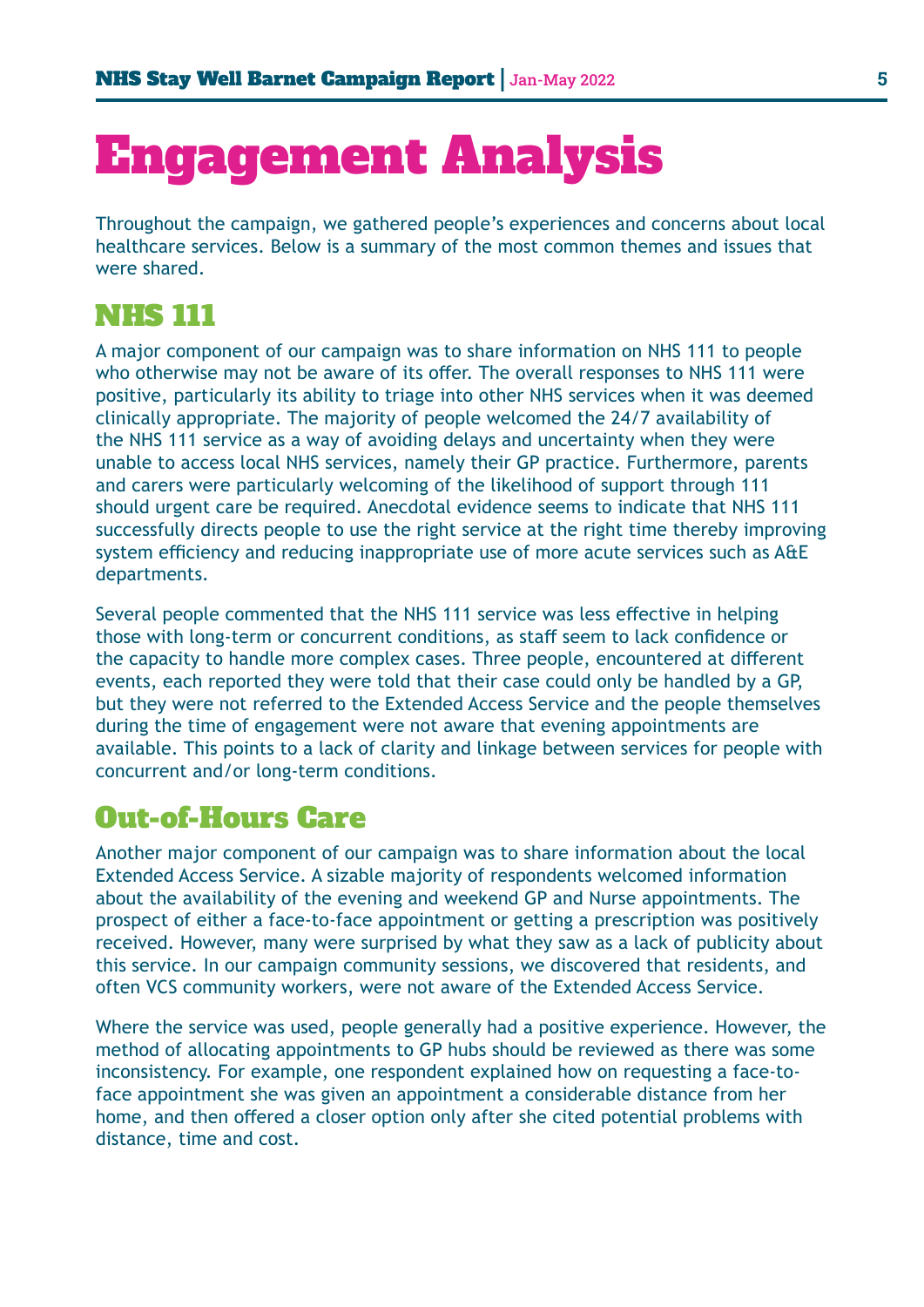## Engagement Analysis

Throughout the campaign, we gathered people's experiences and concerns about local healthcare services. Below is a summary of the most common themes and issues that were shared.

#### NHS 111

A major component of our campaign was to share information on NHS 111 to people who otherwise may not be aware of its offer. The overall responses to NHS 111 were positive, particularly its ability to triage into other NHS services when it was deemed clinically appropriate. The majority of people welcomed the 24/7 availability of the NHS 111 service as a way of avoiding delays and uncertainty when they were unable to access local NHS services, namely their GP practice. Furthermore, parents and carers were particularly welcoming of the likelihood of support through 111 should urgent care be required. Anecdotal evidence seems to indicate that NHS 111 successfully directs people to use the right service at the right time thereby improving system efficiency and reducing inappropriate use of more acute services such as A&E departments.

Several people commented that the NHS 111 service was less effective in helping those with long-term or concurrent conditions, as staff seem to lack confidence or the capacity to handle more complex cases. Three people, encountered at different events, each reported they were told that their case could only be handled by a GP, but they were not referred to the Extended Access Service and the people themselves during the time of engagement were not aware that evening appointments are available. This points to a lack of clarity and linkage between services for people with concurrent and/or long-term conditions.

### Out-of-Hours Care

Another major component of our campaign was to share information about the local Extended Access Service. A sizable majority of respondents welcomed information about the availability of the evening and weekend GP and Nurse appointments. The prospect of either a face-to-face appointment or getting a prescription was positively received. However, many were surprised by what they saw as a lack of publicity about this service. In our campaign community sessions, we discovered that residents, and often VCS community workers, were not aware of the Extended Access Service.

Where the service was used, people generally had a positive experience. However, the method of allocating appointments to GP hubs should be reviewed as there was some inconsistency. For example, one respondent explained how on requesting a face-toface appointment she was given an appointment a considerable distance from her home, and then offered a closer option only after she cited potential problems with distance, time and cost.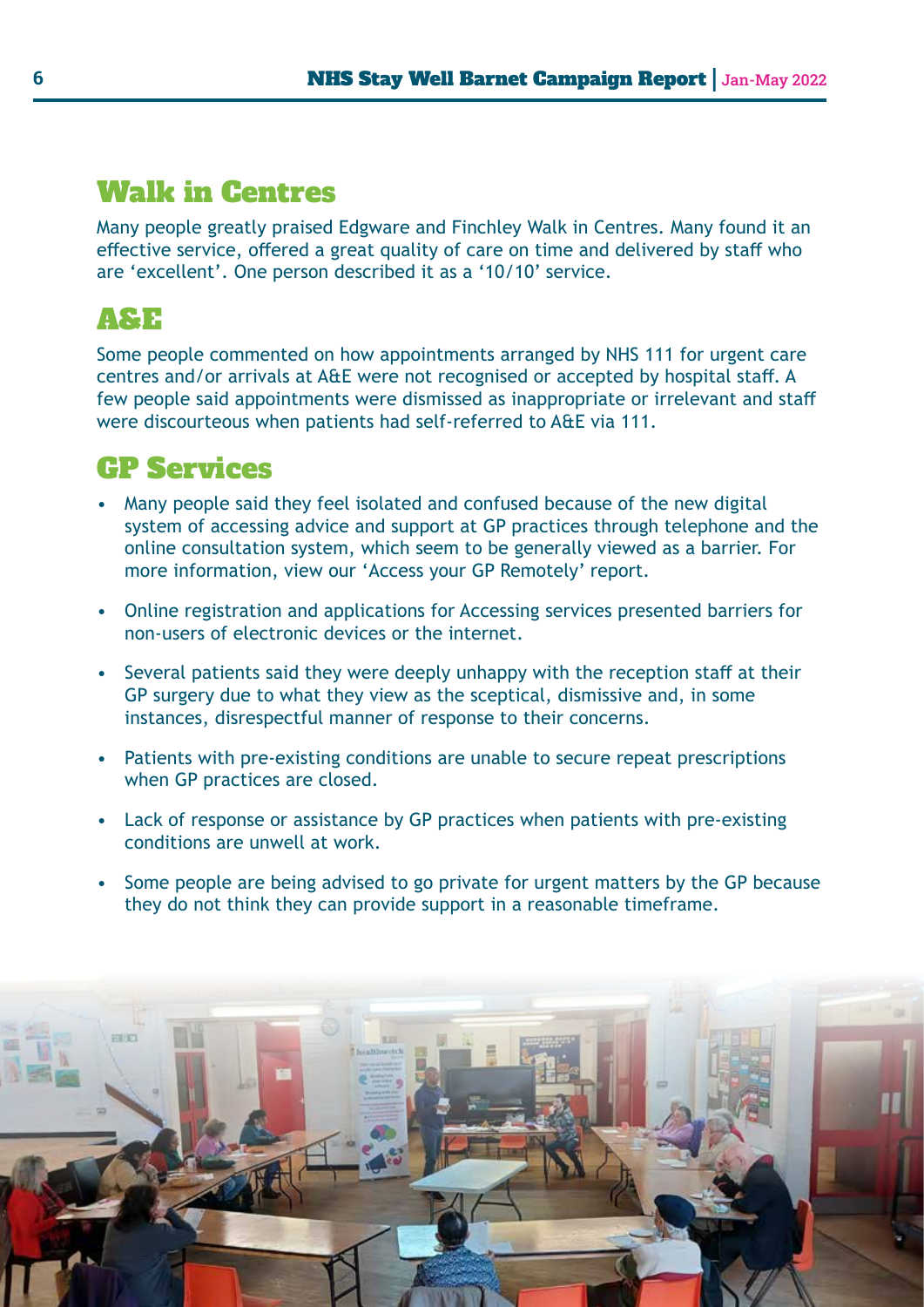### Walk in Centres

Many people greatly praised Edgware and Finchley Walk in Centres. Many found it an effective service, offered a great quality of care on time and delivered by staff who are 'excellent'. One person described it as a '10/10' service.

### A&E

Some people commented on how appointments arranged by NHS 111 for urgent care centres and/or arrivals at A&E were not recognised or accepted by hospital staff. A few people said appointments were dismissed as inappropriate or irrelevant and staff were discourteous when patients had self-referred to A&E via 111.

### GP Services

- Many people said they feel isolated and confused because of the new digital system of accessing advice and support at GP practices through telephone and the online consultation system, which seem to be generally viewed as a barrier. For more information, view our 'Access your GP Remotely' report.
- Online registration and applications for Accessing services presented barriers for non-users of electronic devices or the internet.
- Several patients said they were deeply unhappy with the reception staff at their GP surgery due to what they view as the sceptical, dismissive and, in some instances, disrespectful manner of response to their concerns.
- Patients with pre-existing conditions are unable to secure repeat prescriptions when GP practices are closed.
- Lack of response or assistance by GP practices when patients with pre-existing conditions are unwell at work.
- Some people are being advised to go private for urgent matters by the GP because they do not think they can provide support in a reasonable timeframe.

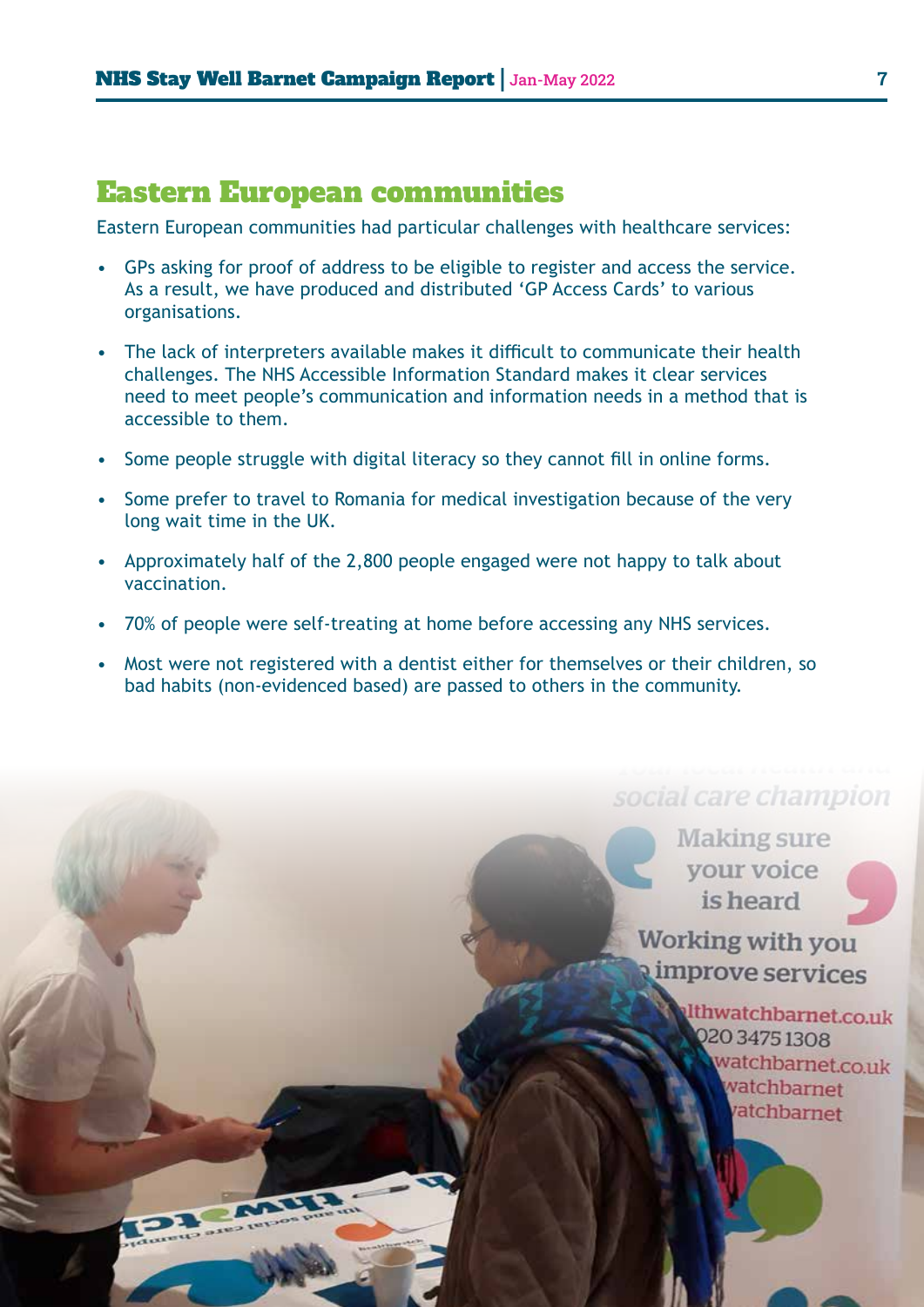#### Eastern European communities

Eastern European communities had particular challenges with healthcare services:

- GPs asking for proof of address to be eligible to register and access the service. As a result, we have produced and distributed 'GP Access Cards' to various organisations.
- The lack of interpreters available makes it difficult to communicate their health challenges. The NHS Accessible Information Standard makes it clear services need to meet people's communication and information needs in a method that is accessible to them.
- Some people struggle with digital literacy so they cannot fill in online forms.
- Some prefer to travel to Romania for medical investigation because of the very long wait time in the UK.
- Approximately half of the 2,800 people engaged were not happy to talk about vaccination.
- 70% of people were self-treating at home before accessing any NHS services.
- Most were not registered with a dentist either for themselves or their children, so bad habits (non-evidenced based) are passed to others in the community.

### social care champion

**Making sure** your voice is heard

**Working with you** improve services

> Ithwatchbarnet.co.uk 220 3475 1308 watchbarnet.co.uk vatchbarnet atchbarnet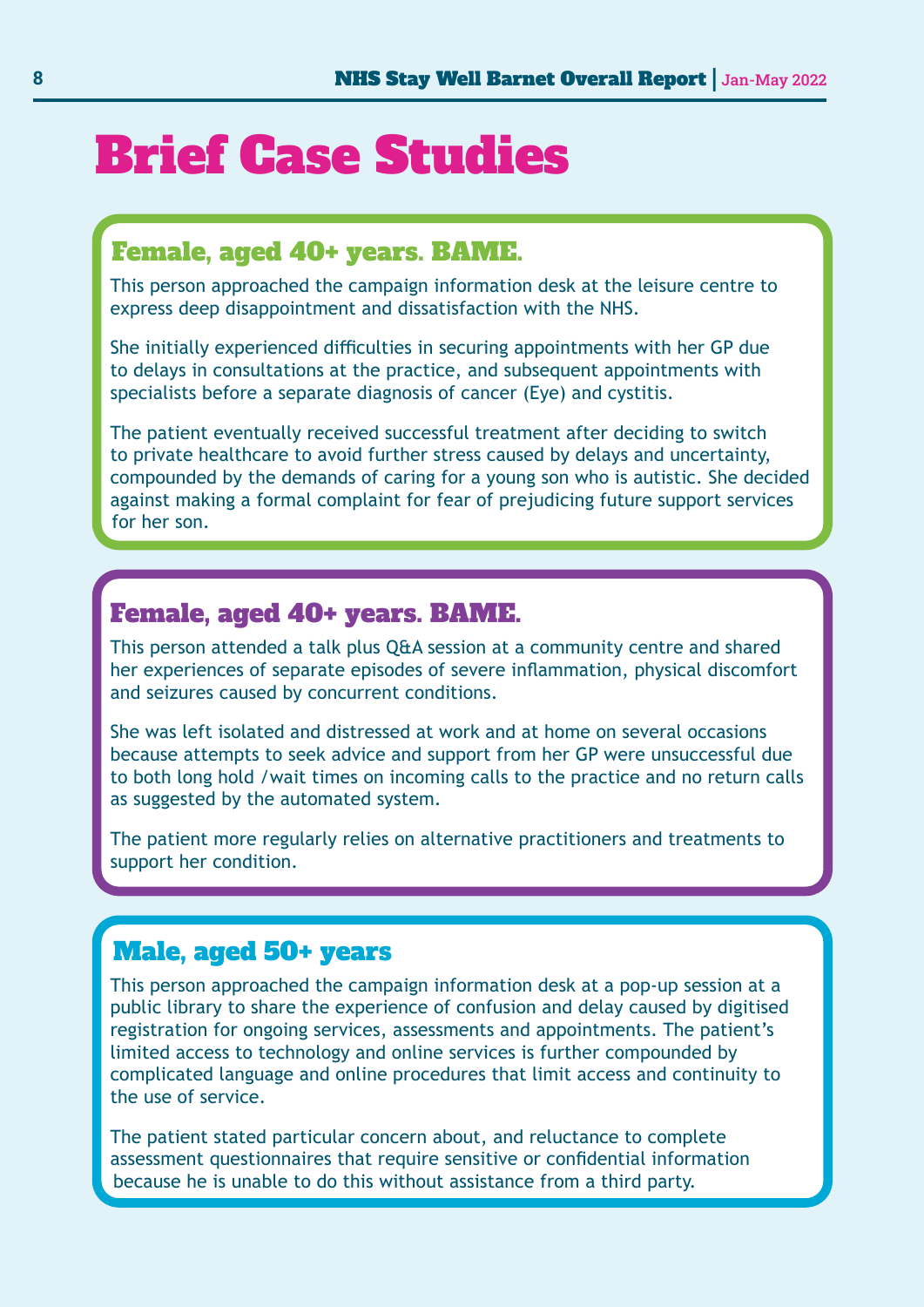## Brief Case Studies

#### Female, aged 40+ years. BAME.

This person approached the campaign information desk at the leisure centre to express deep disappointment and dissatisfaction with the NHS.

She initially experienced difficulties in securing appointments with her GP due to delays in consultations at the practice, and subsequent appointments with specialists before a separate diagnosis of cancer (Eye) and cystitis.

The patient eventually received successful treatment after deciding to switch to private healthcare to avoid further stress caused by delays and uncertainty, compounded by the demands of caring for a young son who is autistic. She decided against making a formal complaint for fear of prejudicing future support services for her son.

#### Female, aged 40+ years. BAME.

This person attended a talk plus Q&A session at a community centre and shared her experiences of separate episodes of severe inflammation, physical discomfort and seizures caused by concurrent conditions.

She was left isolated and distressed at work and at home on several occasions because attempts to seek advice and support from her GP were unsuccessful due to both long hold /wait times on incoming calls to the practice and no return calls as suggested by the automated system.

The patient more regularly relies on alternative practitioners and treatments to support her condition.

#### Male, aged 50+ years

This person approached the campaign information desk at a pop-up session at a public library to share the experience of confusion and delay caused by digitised registration for ongoing services, assessments and appointments. The patient's limited access to technology and online services is further compounded by complicated language and online procedures that limit access and continuity to the use of service.

The patient stated particular concern about, and reluctance to complete assessment questionnaires that require sensitive or confidential information because he is unable to do this without assistance from a third party.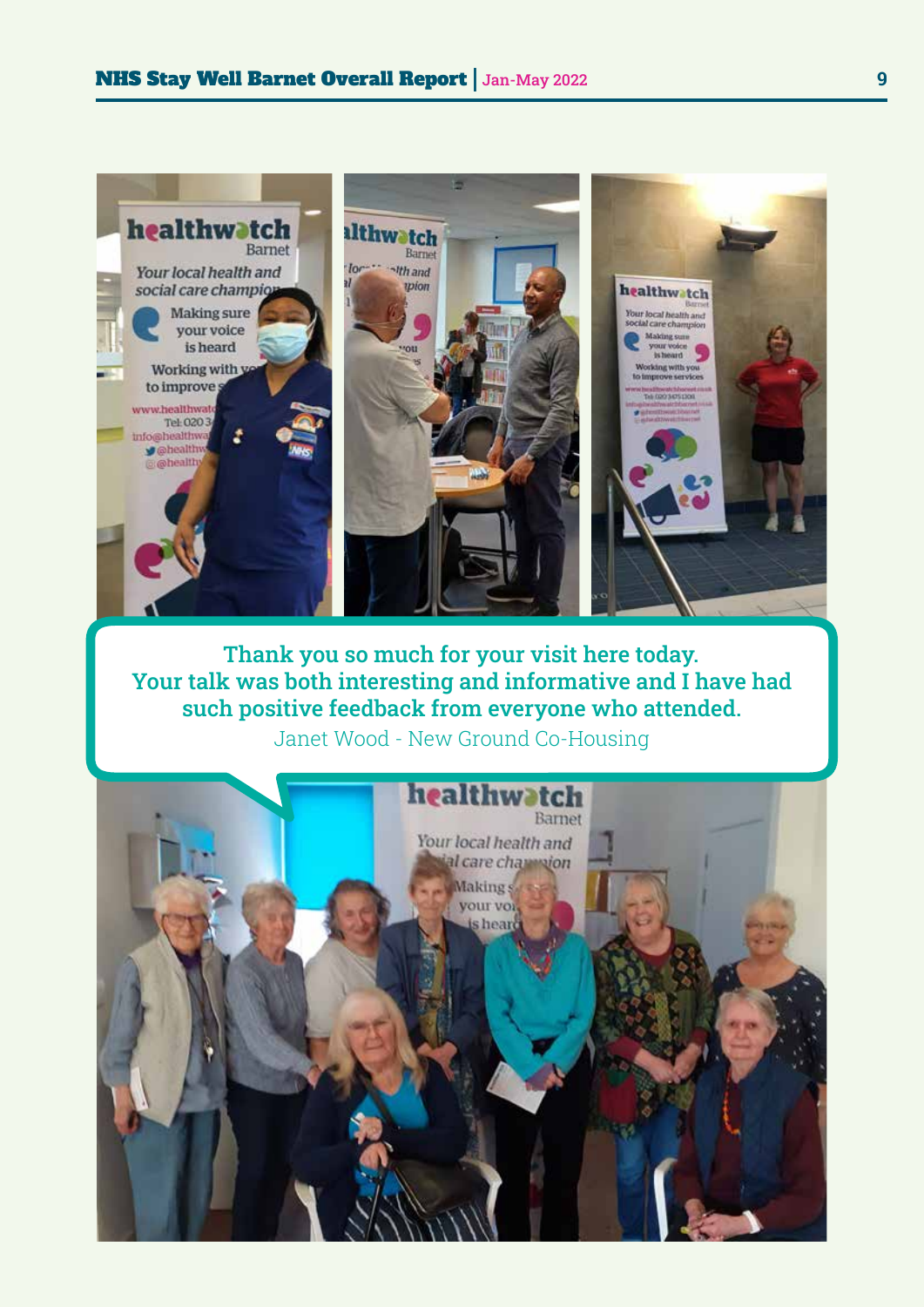

Thank you so much for your visit here today. Your talk was both interesting and informative and I have had such positive feedback from everyone who attended.

Janet Wood - New Ground Co-Housing

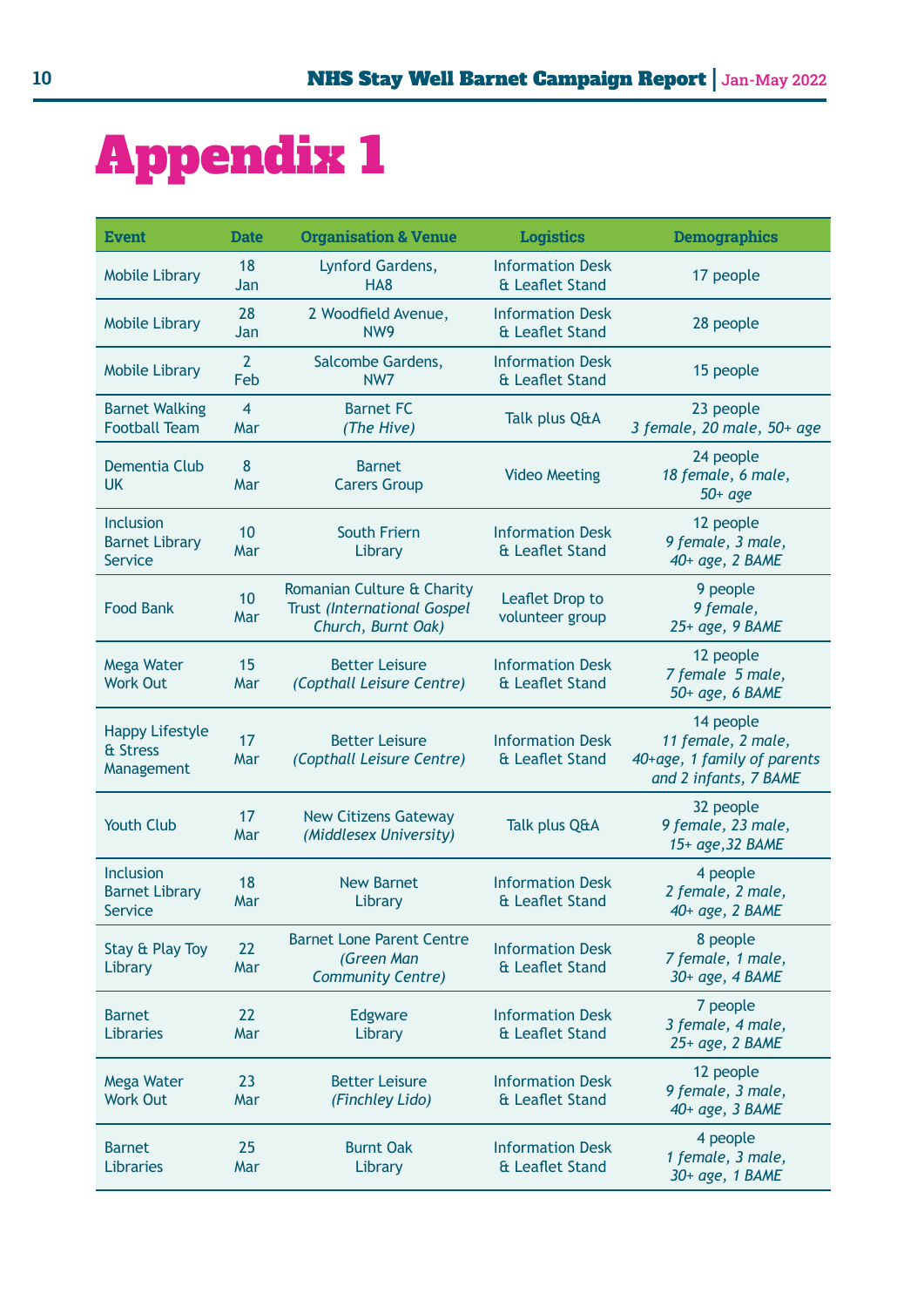## Appendix 1

| <b>Event</b>                                                | <b>Date</b>           | <b>Organisation &amp; Venue</b>                                                        | <b>Logistics</b>                           | <b>Demographics</b>                                                                     |
|-------------------------------------------------------------|-----------------------|----------------------------------------------------------------------------------------|--------------------------------------------|-----------------------------------------------------------------------------------------|
| <b>Mobile Library</b>                                       | 18<br>Jan             | Lynford Gardens,<br>HA <sub>8</sub>                                                    | <b>Information Desk</b><br>& Leaflet Stand | 17 people                                                                               |
| <b>Mobile Library</b>                                       | 28<br>Jan             | 2 Woodfield Avenue,<br>NW <sub>9</sub>                                                 | <b>Information Desk</b><br>& Leaflet Stand | 28 people                                                                               |
| <b>Mobile Library</b>                                       | $\overline{2}$<br>Feb | Salcombe Gardens,<br>NW7                                                               | <b>Information Desk</b><br>& Leaflet Stand | 15 people                                                                               |
| <b>Barnet Walking</b><br><b>Football Team</b>               | $\overline{4}$<br>Mar | <b>Barnet FC</b><br>(The Hive)                                                         | Talk plus Q&A                              | 23 people<br>3 female, 20 male, 50+ age                                                 |
| Dementia Club<br><b>UK</b>                                  | 8<br>Mar              | <b>Barnet</b><br><b>Carers Group</b>                                                   | <b>Video Meeting</b>                       | 24 people<br>18 female, 6 male,<br>$50 + age$                                           |
| <b>Inclusion</b><br><b>Barnet Library</b><br><b>Service</b> | 10<br>Mar             | <b>South Friern</b><br>Library                                                         | <b>Information Desk</b><br>& Leaflet Stand | 12 people<br>9 female, 3 male,<br>40+ age, 2 BAME                                       |
| <b>Food Bank</b>                                            | 10<br>Mar             | Romanian Culture & Charity<br><b>Trust (International Gospel</b><br>Church, Burnt Oak) | Leaflet Drop to<br>volunteer group         | 9 people<br>9 female,<br>25+ age, 9 BAME                                                |
| Mega Water<br><b>Work Out</b>                               | 15<br>Mar             | <b>Better Leisure</b><br>(Copthall Leisure Centre)                                     | <b>Information Desk</b><br>& Leaflet Stand | 12 people<br>7 female 5 male,<br>50+ age, 6 BAME                                        |
| <b>Happy Lifestyle</b><br>& Stress<br>Management            | 17<br>Mar             | <b>Better Leisure</b><br>(Copthall Leisure Centre)                                     | <b>Information Desk</b><br>& Leaflet Stand | 14 people<br>11 female, 2 male,<br>40+age, 1 family of parents<br>and 2 infants, 7 BAME |
| <b>Youth Club</b>                                           | 17<br>Mar             | <b>New Citizens Gateway</b><br>(Middlesex University)                                  | Talk plus Q&A                              | 32 people<br>9 female, 23 male,<br>15+ age, 32 BAME                                     |
| Inclusion<br><b>Barnet Library</b><br><b>Service</b>        | 18<br>Mar             | <b>New Barnet</b><br>Library                                                           | <b>Information Desk</b><br>& Leaflet Stand | 4 people<br>2 female, 2 male,<br>40+ age, 2 BAME                                        |
| Stay & Play Toy<br>Library                                  | 22<br>Mar             | <b>Barnet Lone Parent Centre</b><br>(Green Man<br><b>Community Centre)</b>             | <b>Information Desk</b><br>& Leaflet Stand | 8 people<br>7 female, 1 male,<br>30+ age, 4 BAME                                        |
| <b>Barnet</b><br>Libraries                                  | 22<br>Mar             | Edgware<br>Library                                                                     | <b>Information Desk</b><br>& Leaflet Stand | 7 people<br>3 female, 4 male,<br>25+ age, 2 BAME                                        |
| Mega Water<br><b>Work Out</b>                               | 23<br>Mar             | <b>Better Leisure</b><br>(Finchley Lido)                                               | <b>Information Desk</b><br>& Leaflet Stand | 12 people<br>9 female, 3 male,<br>40+ age, 3 BAME                                       |
| <b>Barnet</b><br>Libraries                                  | 25<br>Mar             | <b>Burnt Oak</b><br>Library                                                            | <b>Information Desk</b><br>& Leaflet Stand | 4 people<br>1 female, 3 male,<br>30+ age, 1 BAME                                        |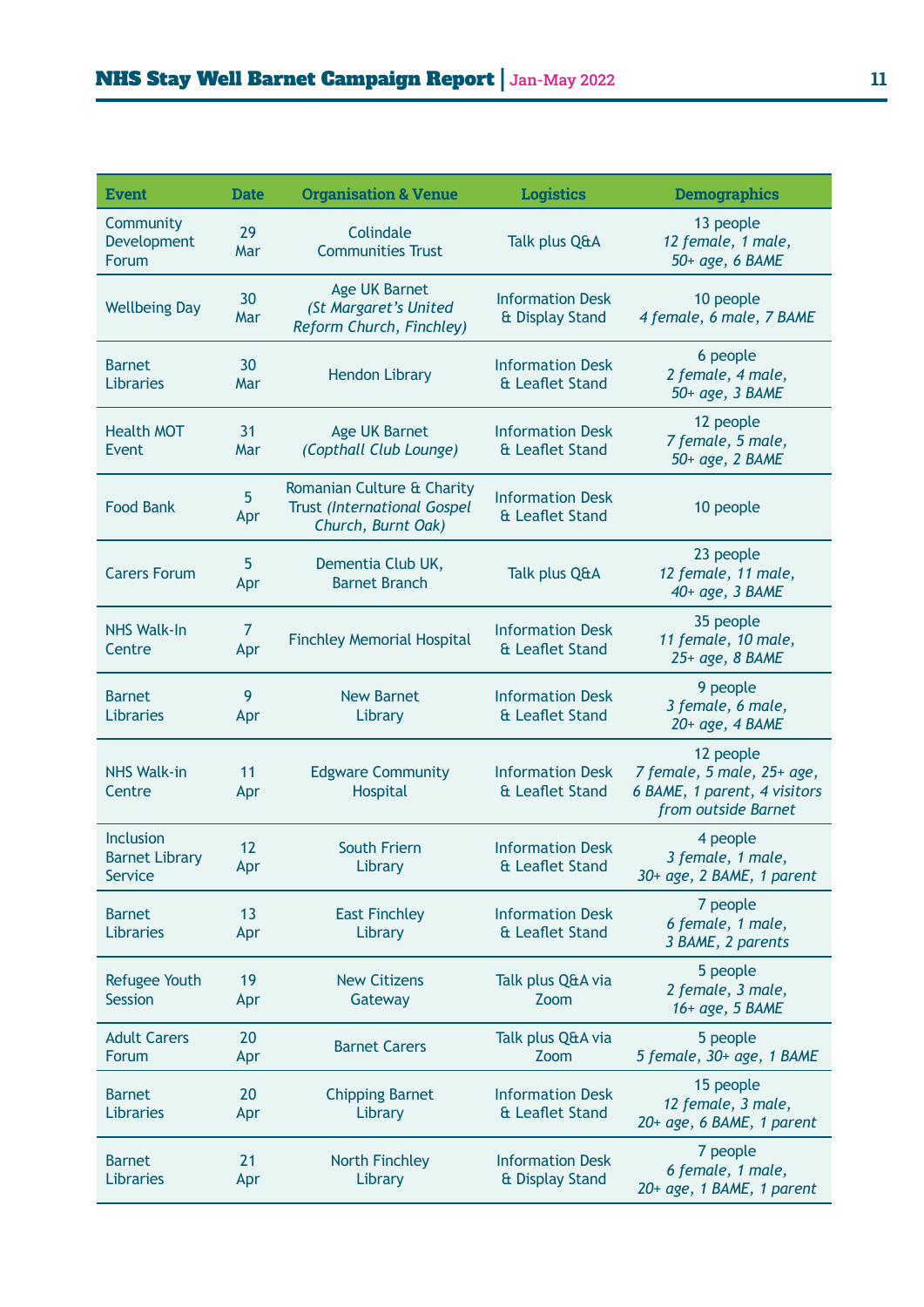| <b>Event</b>                                         | <b>Date</b>            | <b>Organisation &amp; Venue</b>                                                        | <b>Logistics</b>                           | <b>Demographics</b>                                                                            |
|------------------------------------------------------|------------------------|----------------------------------------------------------------------------------------|--------------------------------------------|------------------------------------------------------------------------------------------------|
| Community<br>Development<br>Forum                    | 29<br>Mar              | Colindale<br><b>Communities Trust</b>                                                  | Talk plus Q&A                              | 13 people<br>12 female, 1 male,<br>50+ age, 6 BAME                                             |
| <b>Wellbeing Day</b>                                 | 30<br>Mar              | <b>Age UK Barnet</b><br>(St Margaret's United<br>Reform Church, Finchley)              | <b>Information Desk</b><br>& Display Stand | 10 people<br>4 female, 6 male, 7 BAME                                                          |
| <b>Barnet</b><br>Libraries                           | 30<br>Mar              | <b>Hendon Library</b>                                                                  | <b>Information Desk</b><br>& Leaflet Stand | 6 people<br>2 female, 4 male,<br>50+ age, 3 BAME                                               |
| <b>Health MOT</b><br>Event                           | 31<br>Mar              | <b>Age UK Barnet</b><br>(Copthall Club Lounge)                                         | <b>Information Desk</b><br>& Leaflet Stand | 12 people<br>7 female, 5 male,<br>50+ age, 2 BAME                                              |
| <b>Food Bank</b>                                     | $5\overline{)}$<br>Apr | Romanian Culture & Charity<br><b>Trust (International Gospel</b><br>Church, Burnt Oak) | <b>Information Desk</b><br>& Leaflet Stand | 10 people                                                                                      |
| <b>Carers Forum</b>                                  | 5<br>Apr               | Dementia Club UK,<br><b>Barnet Branch</b>                                              | Talk plus Q&A                              | 23 people<br>12 female, 11 male,<br>40+ age, 3 BAME                                            |
| <b>NHS Walk-In</b><br>Centre                         | $\overline{7}$<br>Apr  | <b>Finchley Memorial Hospital</b>                                                      | <b>Information Desk</b><br>& Leaflet Stand | 35 people<br>11 female, 10 male,<br>25+ age, 8 BAME                                            |
| <b>Barnet</b><br>Libraries                           | 9<br>Apr               | <b>New Barnet</b><br>Library                                                           | <b>Information Desk</b><br>& Leaflet Stand | 9 people<br>3 female, 6 male,<br>20+ age, 4 BAME                                               |
| <b>NHS Walk-in</b><br>Centre                         | 11<br>Apr              | <b>Edgware Community</b><br>Hospital                                                   | <b>Information Desk</b><br>& Leaflet Stand | 12 people<br>7 female, 5 male, 25+ age,<br>6 BAME, 1 parent, 4 visitors<br>from outside Barnet |
| <b>Inclusion</b><br><b>Barnet Library</b><br>Service | 12<br>Apr              | South Friern<br>Library                                                                | <b>Information Desk</b><br>& Leaflet Stand | 4 people<br>3 female, 1 male,<br>30+ age, 2 BAME, 1 parent                                     |
| <b>Barnet</b><br>Libraries                           | 13<br>Apr              | <b>East Finchley</b><br>Library                                                        | <b>Information Desk</b><br>& Leaflet Stand | 7 people<br>6 female, 1 male,<br>3 BAME, 2 parents                                             |
| <b>Refugee Youth</b><br><b>Session</b>               | 19<br>Apr              | <b>New Citizens</b><br>Gateway                                                         | Talk plus Q&A via<br>Zoom                  | 5 people<br>2 female, 3 male,<br>16+ age, 5 BAME                                               |
| <b>Adult Carers</b><br>Forum                         | 20<br>Apr              | <b>Barnet Carers</b>                                                                   | Talk plus Q&A via<br>Zoom                  | 5 people<br>5 female, 30+ age, 1 BAME                                                          |
| <b>Barnet</b><br>Libraries                           | 20<br>Apr              | <b>Chipping Barnet</b><br>Library                                                      | <b>Information Desk</b><br>& Leaflet Stand | 15 people<br>12 female, 3 male,<br>20+ age, 6 BAME, 1 parent                                   |
| <b>Barnet</b><br>Libraries                           | 21<br>Apr              | <b>North Finchley</b><br>Library                                                       | <b>Information Desk</b><br>& Display Stand | 7 people<br>6 female, 1 male,<br>20+ age, 1 BAME, 1 parent                                     |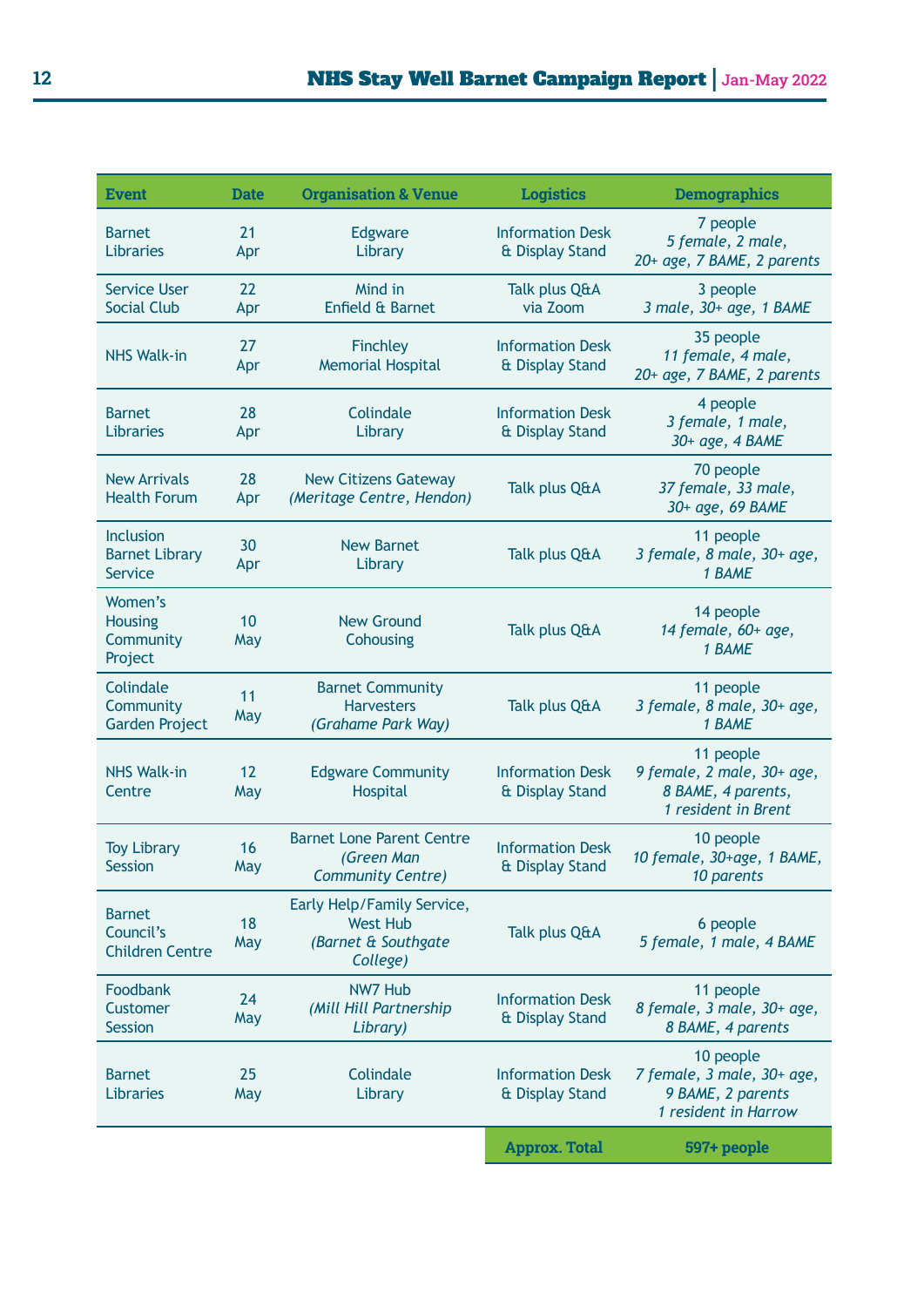| <b>Event</b>                                                | <b>Date</b> | <b>Organisation &amp; Venue</b>                                                  | <b>Logistics</b>                           | <b>Demographics</b>                                                                  |
|-------------------------------------------------------------|-------------|----------------------------------------------------------------------------------|--------------------------------------------|--------------------------------------------------------------------------------------|
| <b>Barnet</b><br>Libraries                                  | 21<br>Apr   | Edgware<br>Library                                                               | <b>Information Desk</b><br>& Display Stand | 7 people<br>5 female, 2 male,<br>20+ age, 7 BAME, 2 parents                          |
| <b>Service User</b><br><b>Social Club</b>                   | 22<br>Apr   | Mind in<br>Enfield & Barnet                                                      | Talk plus Q&A<br>via Zoom                  | 3 people<br>3 male, 30+ age, 1 BAME                                                  |
| <b>NHS Walk-in</b>                                          | 27<br>Apr   | Finchley<br><b>Memorial Hospital</b>                                             | <b>Information Desk</b><br>& Display Stand | 35 people<br>11 female, 4 male,<br>20+ age, 7 BAME, 2 parents                        |
| <b>Barnet</b><br><b>Libraries</b>                           | 28<br>Apr   | Colindale<br>Library                                                             | <b>Information Desk</b><br>& Display Stand | 4 people<br>3 female, 1 male,<br>30+ age, 4 BAME                                     |
| <b>New Arrivals</b><br><b>Health Forum</b>                  | 28<br>Apr   | <b>New Citizens Gateway</b><br>(Meritage Centre, Hendon)                         | Talk plus Q&A                              | 70 people<br>37 female, 33 male,<br>30+ age, 69 BAME                                 |
| <b>Inclusion</b><br><b>Barnet Library</b><br><b>Service</b> | 30<br>Apr   | <b>New Barnet</b><br>Library                                                     | Talk plus Q&A                              | 11 people<br>3 female, 8 male, 30+ age,<br>1 BAME                                    |
| Women's<br><b>Housing</b><br>Community<br>Project           | 10<br>May   | <b>New Ground</b><br>Cohousing                                                   | Talk plus Q&A                              | 14 people<br>14 female, 60+ age,<br>1 BAME                                           |
| Colindale<br>Community<br><b>Garden Project</b>             | 11<br>May   | <b>Barnet Community</b><br><b>Harvesters</b><br>(Grahame Park Way)               | Talk plus Q&A                              | 11 people<br>3 female, 8 male, 30+ age,<br>1 BAME                                    |
| <b>NHS Walk-in</b><br>Centre                                | 12<br>May   | <b>Edgware Community</b><br>Hospital                                             | <b>Information Desk</b><br>& Display Stand | 11 people<br>9 female, 2 male, 30+ age,<br>8 BAME, 4 parents,<br>1 resident in Brent |
| <b>Toy Library</b><br><b>Session</b>                        | 16<br>May   | <b>Barnet Lone Parent Centre</b><br>(Green Man<br>Community Centre)              | <b>Information Desk</b><br>& Display Stand | 10 people<br>10 female, 30+age, 1 BAME,<br>10 parents                                |
| <b>Barnet</b><br>Council's<br><b>Children Centre</b>        | 18<br>May   | Early Help/Family Service,<br><b>West Hub</b><br>(Barnet & Southgate<br>College) | Talk plus Q&A                              | 6 people<br>5 female, 1 male, 4 BAME                                                 |
| Foodbank<br>Customer<br><b>Session</b>                      | 24<br>May   | <b>NW7 Hub</b><br>(Mill Hill Partnership<br>Library)                             | <b>Information Desk</b><br>& Display Stand | 11 people<br>8 female, 3 male, 30+ age,<br>8 BAME, 4 parents                         |
| <b>Barnet</b><br>Libraries                                  | 25<br>May   | Colindale<br>Library                                                             | <b>Information Desk</b><br>& Display Stand | 10 people<br>7 female, 3 male, 30+ age,<br>9 BAME, 2 parents<br>1 resident in Harrow |
|                                                             |             |                                                                                  | <b>Approx. Total</b>                       | 597+ people                                                                          |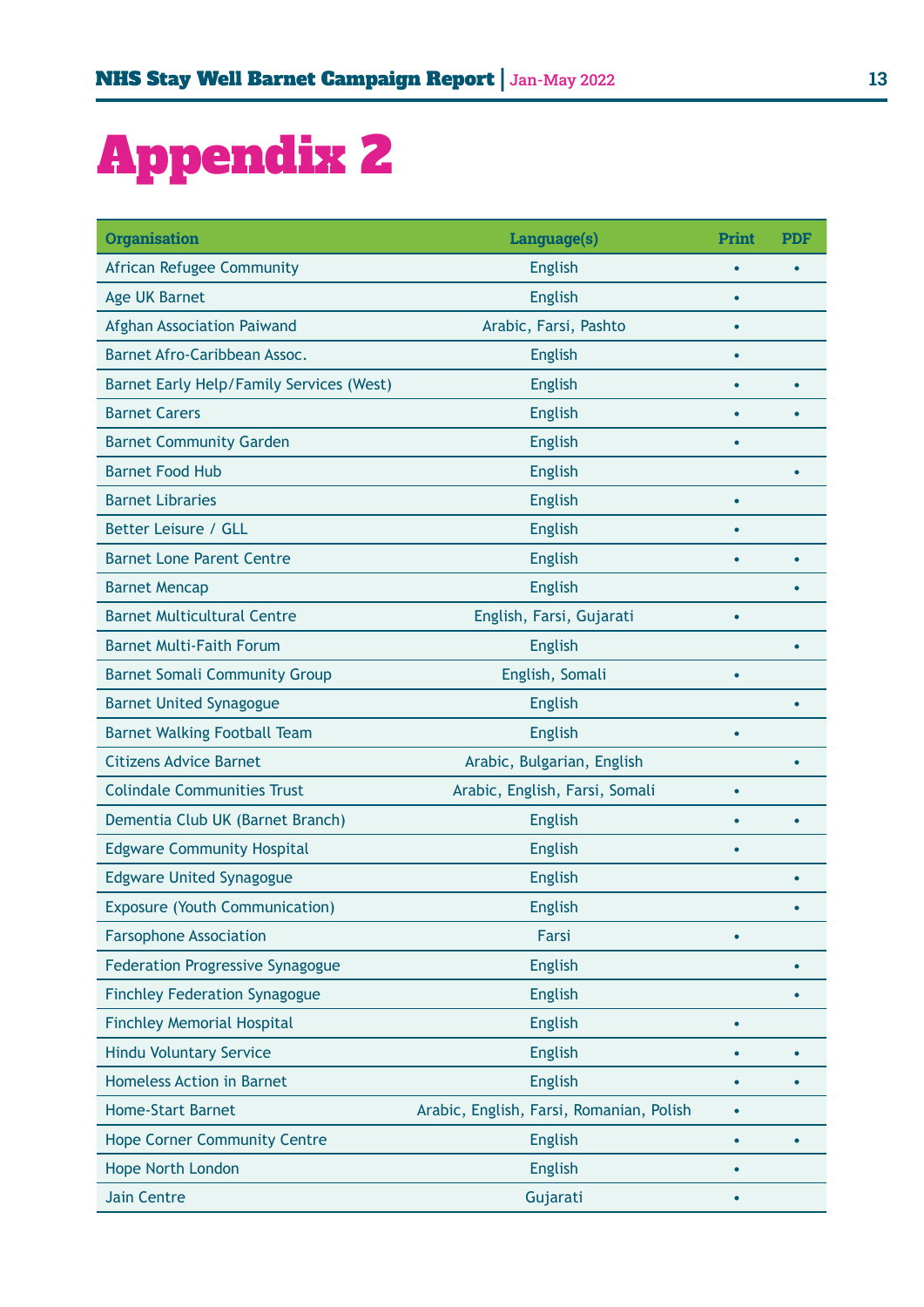## Appendix 2

| <b>Organisation</b>                      | Language(s)                              | Print     | <b>PDF</b> |
|------------------------------------------|------------------------------------------|-----------|------------|
| African Refugee Community                | <b>English</b>                           |           |            |
| <b>Age UK Barnet</b>                     | <b>English</b>                           | $\bullet$ |            |
| Afghan Association Paiwand               | Arabic, Farsi, Pashto                    |           |            |
| Barnet Afro-Caribbean Assoc.             | <b>English</b>                           | $\bullet$ |            |
| Barnet Early Help/Family Services (West) | <b>English</b>                           |           |            |
| <b>Barnet Carers</b>                     | <b>English</b>                           |           |            |
| <b>Barnet Community Garden</b>           | <b>English</b>                           |           |            |
| <b>Barnet Food Hub</b>                   | <b>English</b>                           |           |            |
| <b>Barnet Libraries</b>                  | <b>English</b>                           | $\bullet$ |            |
| Better Leisure / GLL                     | <b>English</b>                           |           |            |
| <b>Barnet Lone Parent Centre</b>         | <b>English</b>                           |           |            |
| <b>Barnet Mencap</b>                     | <b>English</b>                           |           |            |
| <b>Barnet Multicultural Centre</b>       | English, Farsi, Gujarati                 | $\bullet$ |            |
| <b>Barnet Multi-Faith Forum</b>          | <b>English</b>                           |           |            |
| <b>Barnet Somali Community Group</b>     | English, Somali                          |           |            |
| <b>Barnet United Synagogue</b>           | <b>English</b>                           |           |            |
| <b>Barnet Walking Football Team</b>      | <b>English</b>                           | $\bullet$ |            |
| <b>Citizens Advice Barnet</b>            | Arabic, Bulgarian, English               |           |            |
| <b>Colindale Communities Trust</b>       | Arabic, English, Farsi, Somali           | $\bullet$ |            |
| Dementia Club UK (Barnet Branch)         | <b>English</b>                           |           |            |
| <b>Edgware Community Hospital</b>        | <b>English</b>                           | $\bullet$ |            |
| <b>Edgware United Synagogue</b>          | <b>English</b>                           |           |            |
| <b>Exposure (Youth Communication)</b>    | <b>English</b>                           |           |            |
| <b>Farsophone Association</b>            | Farsi                                    |           |            |
| <b>Federation Progressive Synagogue</b>  | <b>English</b>                           |           |            |
| <b>Finchley Federation Synagogue</b>     | <b>English</b>                           |           |            |
| <b>Finchley Memorial Hospital</b>        | <b>English</b>                           | $\bullet$ |            |
| <b>Hindu Voluntary Service</b>           | <b>English</b>                           | $\bullet$ |            |
| <b>Homeless Action in Barnet</b>         | <b>English</b>                           | $\bullet$ |            |
| <b>Home-Start Barnet</b>                 | Arabic, English, Farsi, Romanian, Polish | $\bullet$ |            |
| <b>Hope Corner Community Centre</b>      | <b>English</b>                           |           |            |
| <b>Hope North London</b>                 | <b>English</b>                           |           |            |
| <b>Jain Centre</b>                       | Gujarati                                 | $\bullet$ |            |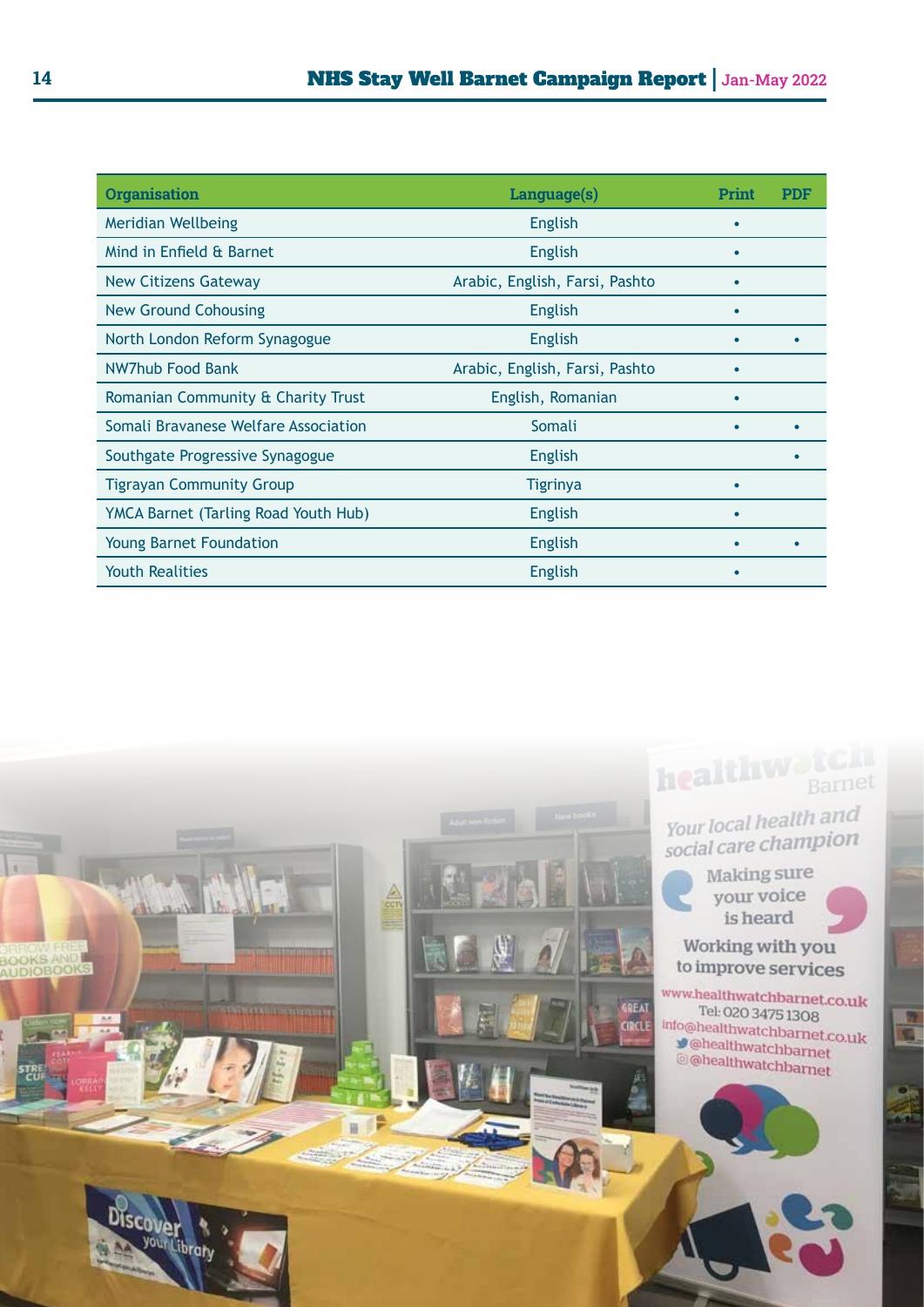| <b>Organisation</b>                         | Language(s)                    | Print     | <b>PDF</b> |
|---------------------------------------------|--------------------------------|-----------|------------|
| <b>Meridian Wellbeing</b>                   | <b>English</b>                 |           |            |
| Mind in Enfield & Barnet                    | <b>English</b>                 |           |            |
| <b>New Citizens Gateway</b>                 | Arabic, English, Farsi, Pashto |           |            |
| <b>New Ground Cohousing</b>                 | <b>English</b>                 |           |            |
| North London Reform Synagogue               | <b>English</b>                 |           |            |
| NW7hub Food Bank                            | Arabic, English, Farsi, Pashto |           |            |
| Romanian Community & Charity Trust          | English, Romanian              |           |            |
| Somali Bravanese Welfare Association        | Somali                         |           |            |
| Southgate Progressive Synagogue             | <b>English</b>                 |           |            |
| <b>Tigrayan Community Group</b>             | <b>Tigrinya</b>                |           |            |
| <b>YMCA Barnet (Tarling Road Youth Hub)</b> | <b>English</b>                 |           |            |
| <b>Young Barnet Foundation</b>              | <b>English</b>                 |           |            |
| <b>Youth Realities</b>                      | <b>English</b>                 | $\bullet$ |            |